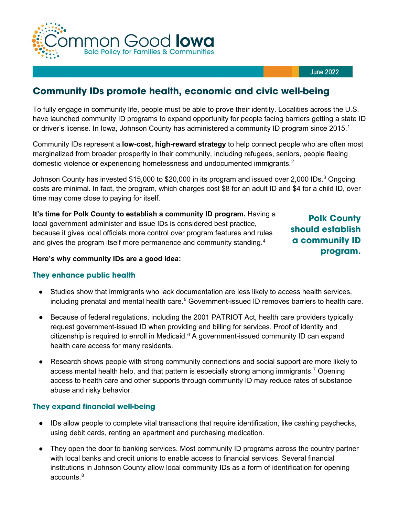

#### June 2022

# **Community IDs promote health, economic and civic well-being**

To fully engage in community life, people must be able to prove their identity. Localities across the U.S. have launched community ID programs to expand opportunity for people facing barriers getting a state ID or driver's license. In Iowa, Johnson County has administered a community ID program since 20[1](#page-1-0)5.<sup>1</sup>

Community IDs represent a **low-cost, high-reward strategy** to help connect people who are often most marginalized from broader prosperity in their community, including refugees, seniors, people fleeing domestic violence or experiencing homelessness and undocumented immigrants.<sup>[2](#page-1-1)</sup>

Johnson County has invested \$15,000 to \$20,000 in its program and issued over 2,000 IDs. $^{\rm 3}$  $^{\rm 3}$  $^{\rm 3}$  Ongoing costs are minimal. In fact, the program, which charges cost \$8 for an adult ID and \$4 for a child ID, over time may come close to paying for itself.

**It's time for Polk County to establish a community ID program.** Having a local government administer and issue IDs is considered best practice, because it gives local officials more control over program features and rules and gives the program itself more permanence and community standing. $^{\rm 4}$  $^{\rm 4}$  $^{\rm 4}$ 

**Polk County should establish a community ID program.**

#### **Here's why community IDs are a good idea:**

#### **They enhance public health**

- Studies show that immigrants who lack documentation are less likely to access health services, including prenatal and mental health care. [5](#page-1-4) Government-issued ID removes barriers to health care.
- Because of federal regulations, including the 2001 PATRIOT Act, health care providers typically request government-issued ID when providing and billing for services. Proof of identity and citizenship is required to enroll in Medicaid.<sup>[6](#page-1-5)</sup> A government-issued community ID can expand health care access for many residents.
- Research shows people with strong community connections and social support are more likely to access mental health help, and that pattern is especially strong among immigrants. [7](#page-1-6) Opening access to health care and other supports through community ID may reduce rates of substance abuse and risky behavior.

#### **They expand financial well-being**

- IDs allow people to complete vital transactions that require identification, like cashing paychecks, using debit cards, renting an apartment and purchasing medication.
- They open the door to banking services. Most community ID programs across the country partner with local banks and credit unions to enable access to financial services. Several financial institutions in Johnson County allow local community IDs as a form of identification for opening accounts.<sup>[8](#page-1-7)</sup>